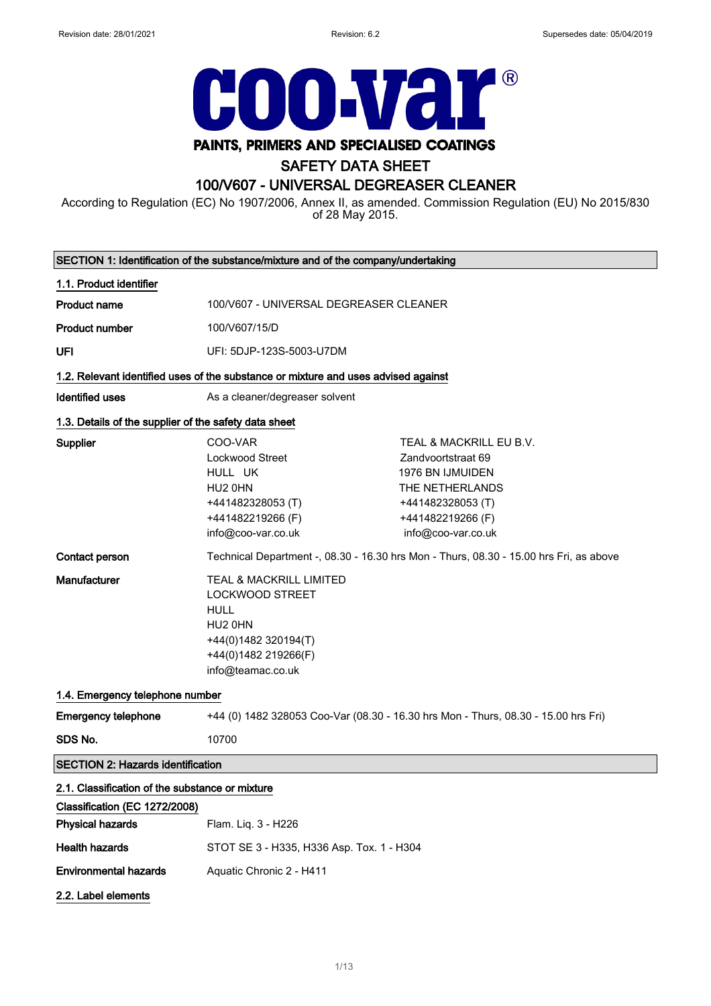

# PAINTS, PRIMERS AND SPECIALISED COATINGS

## SAFETY DATA SHEET

## 100/V607 - UNIVERSAL DEGREASER CLEANER

According to Regulation (EC) No 1907/2006, Annex II, as amended. Commission Regulation (EU) No 2015/830 of 28 May 2015.

| SECTION 1: Identification of the substance/mixture and of the company/undertaking |                                                                                                                                                  |                                                                                                                                                             |
|-----------------------------------------------------------------------------------|--------------------------------------------------------------------------------------------------------------------------------------------------|-------------------------------------------------------------------------------------------------------------------------------------------------------------|
| 1.1. Product identifier                                                           |                                                                                                                                                  |                                                                                                                                                             |
| <b>Product name</b>                                                               | 100/V607 - UNIVERSAL DEGREASER CLEANER                                                                                                           |                                                                                                                                                             |
| <b>Product number</b>                                                             | 100/V607/15/D                                                                                                                                    |                                                                                                                                                             |
| UFI                                                                               | UFI: 5DJP-123S-5003-U7DM                                                                                                                         |                                                                                                                                                             |
|                                                                                   | 1.2. Relevant identified uses of the substance or mixture and uses advised against                                                               |                                                                                                                                                             |
| <b>Identified uses</b>                                                            | As a cleaner/degreaser solvent                                                                                                                   |                                                                                                                                                             |
| 1.3. Details of the supplier of the safety data sheet                             |                                                                                                                                                  |                                                                                                                                                             |
| Supplier                                                                          | COO-VAR<br>Lockwood Street<br>HULL UK<br>HU2 0HN<br>+441482328053 (T)<br>+441482219266 (F)<br>info@coo-var.co.uk                                 | TEAL & MACKRILL EU B.V.<br>Zandvoortstraat 69<br><b>1976 BN IJMUIDEN</b><br>THE NETHERLANDS<br>+441482328053 (T)<br>+441482219266 (F)<br>info@coo-var.co.uk |
| Contact person                                                                    | Technical Department -, 08.30 - 16.30 hrs Mon - Thurs, 08.30 - 15.00 hrs Fri, as above                                                           |                                                                                                                                                             |
| Manufacturer                                                                      | TEAL & MACKRILL LIMITED<br><b>LOCKWOOD STREET</b><br><b>HULL</b><br>HU2 0HN<br>+44(0)1482 320194(T)<br>+44(0)1482 219266(F)<br>info@teamac.co.uk |                                                                                                                                                             |
| 1.4. Emergency telephone number                                                   |                                                                                                                                                  |                                                                                                                                                             |
| <b>Emergency telephone</b>                                                        | +44 (0) 1482 328053 Coo-Var (08.30 - 16.30 hrs Mon - Thurs, 08.30 - 15.00 hrs Fri)                                                               |                                                                                                                                                             |
| SDS No.                                                                           | 10700                                                                                                                                            |                                                                                                                                                             |
| <b>SECTION 2: Hazards identification</b>                                          |                                                                                                                                                  |                                                                                                                                                             |
| 2.1. Classification of the substance or mixture<br>Classification (EC 1272/2008)  |                                                                                                                                                  |                                                                                                                                                             |
| <b>Physical hazards</b>                                                           | Flam. Liq. 3 - H226                                                                                                                              |                                                                                                                                                             |
| <b>Health hazards</b>                                                             | STOT SE 3 - H335, H336 Asp. Tox. 1 - H304                                                                                                        |                                                                                                                                                             |
| <b>Environmental hazards</b>                                                      | Aquatic Chronic 2 - H411                                                                                                                         |                                                                                                                                                             |
| 2.2. Label elements                                                               |                                                                                                                                                  |                                                                                                                                                             |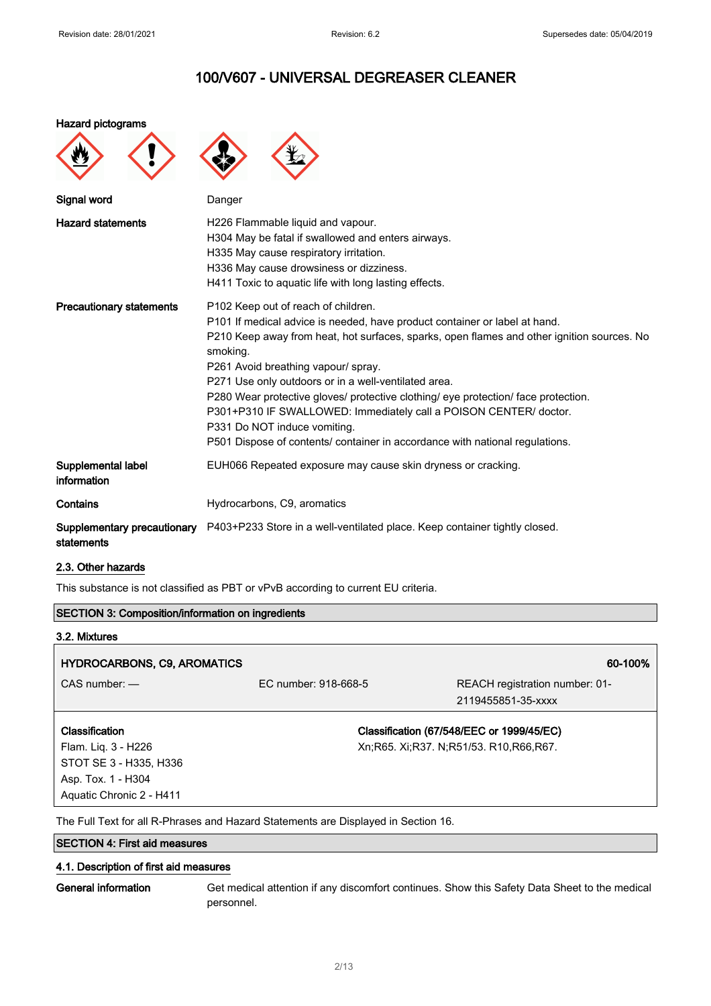#### Hazard pictograms

| Signal word                               | Danger                                                                                                                                                                                                                                                                                                                                                                                                                                                                                                                                                                                                |
|-------------------------------------------|-------------------------------------------------------------------------------------------------------------------------------------------------------------------------------------------------------------------------------------------------------------------------------------------------------------------------------------------------------------------------------------------------------------------------------------------------------------------------------------------------------------------------------------------------------------------------------------------------------|
| <b>Hazard statements</b>                  | H226 Flammable liquid and vapour.<br>H304 May be fatal if swallowed and enters airways.<br>H335 May cause respiratory irritation.<br>H336 May cause drowsiness or dizziness.<br>H411 Toxic to aquatic life with long lasting effects.                                                                                                                                                                                                                                                                                                                                                                 |
| <b>Precautionary statements</b>           | P102 Keep out of reach of children.<br>P101 If medical advice is needed, have product container or label at hand.<br>P210 Keep away from heat, hot surfaces, sparks, open flames and other ignition sources. No<br>smoking.<br>P261 Avoid breathing vapour/ spray.<br>P271 Use only outdoors or in a well-ventilated area.<br>P280 Wear protective gloves/ protective clothing/ eye protection/ face protection.<br>P301+P310 IF SWALLOWED: Immediately call a POISON CENTER/ doctor.<br>P331 Do NOT induce vomiting.<br>P501 Dispose of contents/ container in accordance with national regulations. |
| Supplemental label<br>information         | EUH066 Repeated exposure may cause skin dryness or cracking.                                                                                                                                                                                                                                                                                                                                                                                                                                                                                                                                          |
| Contains                                  | Hydrocarbons, C9, aromatics                                                                                                                                                                                                                                                                                                                                                                                                                                                                                                                                                                           |
| Supplementary precautionary<br>statements | P403+P233 Store in a well-ventilated place. Keep container tightly closed.                                                                                                                                                                                                                                                                                                                                                                                                                                                                                                                            |

#### 2.3. Other hazards

This substance is not classified as PBT or vPvB according to current EU criteria.

## SECTION 3: Composition/information on ingredients 3.2. Mixtures HYDROCARBONS, C9, AROMATICS 60-100% CAS number: — EC number: 918-668-5 REACH registration number: 01- 2119455851-35-xxxx Classification Flam. Liq. 3 - H226 STOT SE 3 - H335, H336 Asp. Tox. 1 - H304 Classification (67/548/EEC or 1999/45/EC) Xn;R65. Xi;R37. N;R51/53. R10,R66,R67.

The Full Text for all R-Phrases and Hazard Statements are Displayed in Section 16.

## SECTION 4: First aid measures

Aquatic Chronic 2 - H411

#### 4.1. Description of first aid measures

General information Get medical attention if any discomfort continues. Show this Safety Data Sheet to the medical personnel.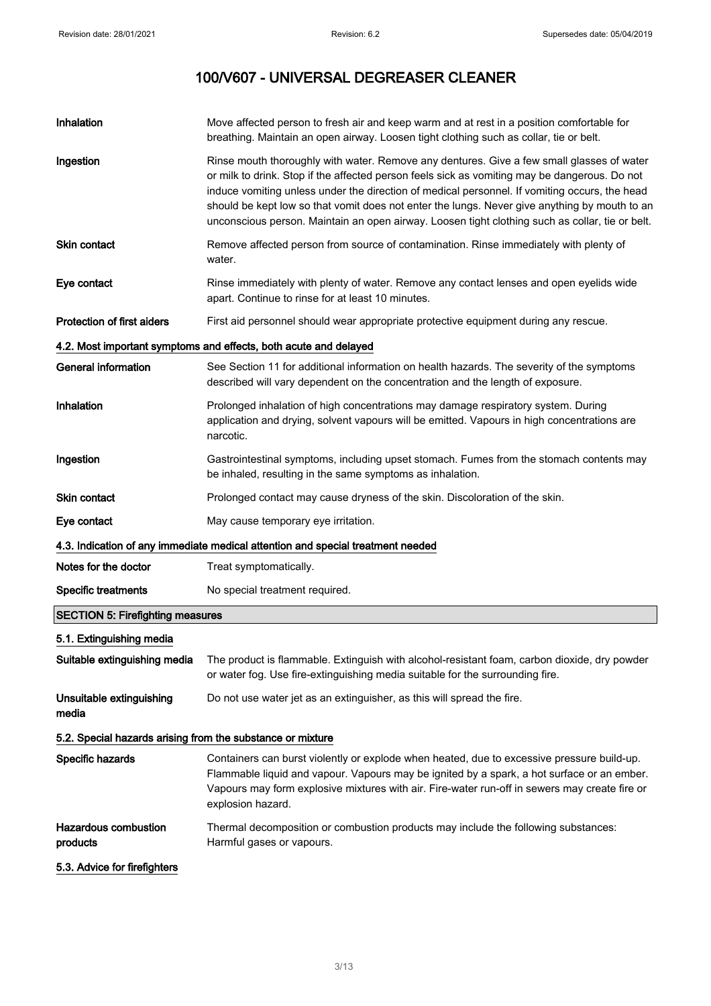| Inhalation                                                 | Move affected person to fresh air and keep warm and at rest in a position comfortable for<br>breathing. Maintain an open airway. Loosen tight clothing such as collar, tie or belt.                                                                                                                                                                                                                                                                                                             |
|------------------------------------------------------------|-------------------------------------------------------------------------------------------------------------------------------------------------------------------------------------------------------------------------------------------------------------------------------------------------------------------------------------------------------------------------------------------------------------------------------------------------------------------------------------------------|
| Ingestion                                                  | Rinse mouth thoroughly with water. Remove any dentures. Give a few small glasses of water<br>or milk to drink. Stop if the affected person feels sick as vomiting may be dangerous. Do not<br>induce vomiting unless under the direction of medical personnel. If vomiting occurs, the head<br>should be kept low so that vomit does not enter the lungs. Never give anything by mouth to an<br>unconscious person. Maintain an open airway. Loosen tight clothing such as collar, tie or belt. |
| Skin contact                                               | Remove affected person from source of contamination. Rinse immediately with plenty of<br>water.                                                                                                                                                                                                                                                                                                                                                                                                 |
| Eye contact                                                | Rinse immediately with plenty of water. Remove any contact lenses and open eyelids wide<br>apart. Continue to rinse for at least 10 minutes.                                                                                                                                                                                                                                                                                                                                                    |
| Protection of first aiders                                 | First aid personnel should wear appropriate protective equipment during any rescue.                                                                                                                                                                                                                                                                                                                                                                                                             |
|                                                            | 4.2. Most important symptoms and effects, both acute and delayed                                                                                                                                                                                                                                                                                                                                                                                                                                |
| <b>General information</b>                                 | See Section 11 for additional information on health hazards. The severity of the symptoms<br>described will vary dependent on the concentration and the length of exposure.                                                                                                                                                                                                                                                                                                                     |
| Inhalation                                                 | Prolonged inhalation of high concentrations may damage respiratory system. During<br>application and drying, solvent vapours will be emitted. Vapours in high concentrations are<br>narcotic.                                                                                                                                                                                                                                                                                                   |
| Ingestion                                                  | Gastrointestinal symptoms, including upset stomach. Fumes from the stomach contents may<br>be inhaled, resulting in the same symptoms as inhalation.                                                                                                                                                                                                                                                                                                                                            |
| <b>Skin contact</b>                                        | Prolonged contact may cause dryness of the skin. Discoloration of the skin.                                                                                                                                                                                                                                                                                                                                                                                                                     |
| Eye contact                                                | May cause temporary eye irritation.                                                                                                                                                                                                                                                                                                                                                                                                                                                             |
|                                                            | 4.3. Indication of any immediate medical attention and special treatment needed                                                                                                                                                                                                                                                                                                                                                                                                                 |
| Notes for the doctor                                       | Treat symptomatically.                                                                                                                                                                                                                                                                                                                                                                                                                                                                          |
| <b>Specific treatments</b>                                 | No special treatment required.                                                                                                                                                                                                                                                                                                                                                                                                                                                                  |
| <b>SECTION 5: Firefighting measures</b>                    |                                                                                                                                                                                                                                                                                                                                                                                                                                                                                                 |
| 5.1. Extinguishing media                                   |                                                                                                                                                                                                                                                                                                                                                                                                                                                                                                 |
| Suitable extinguishing media                               | The product is flammable. Extinguish with alcohol-resistant foam, carbon dioxide, dry powder<br>or water fog. Use fire-extinguishing media suitable for the surrounding fire.                                                                                                                                                                                                                                                                                                                   |
| Unsuitable extinguishing<br>media                          | Do not use water jet as an extinguisher, as this will spread the fire.                                                                                                                                                                                                                                                                                                                                                                                                                          |
| 5.2. Special hazards arising from the substance or mixture |                                                                                                                                                                                                                                                                                                                                                                                                                                                                                                 |
| Specific hazards                                           | Containers can burst violently or explode when heated, due to excessive pressure build-up.<br>Flammable liquid and vapour. Vapours may be ignited by a spark, a hot surface or an ember.<br>Vapours may form explosive mixtures with air. Fire-water run-off in sewers may create fire or<br>explosion hazard.                                                                                                                                                                                  |
| <b>Hazardous combustion</b><br>products                    | Thermal decomposition or combustion products may include the following substances:<br>Harmful gases or vapours.                                                                                                                                                                                                                                                                                                                                                                                 |
| 5.3. Advice for firefighters                               |                                                                                                                                                                                                                                                                                                                                                                                                                                                                                                 |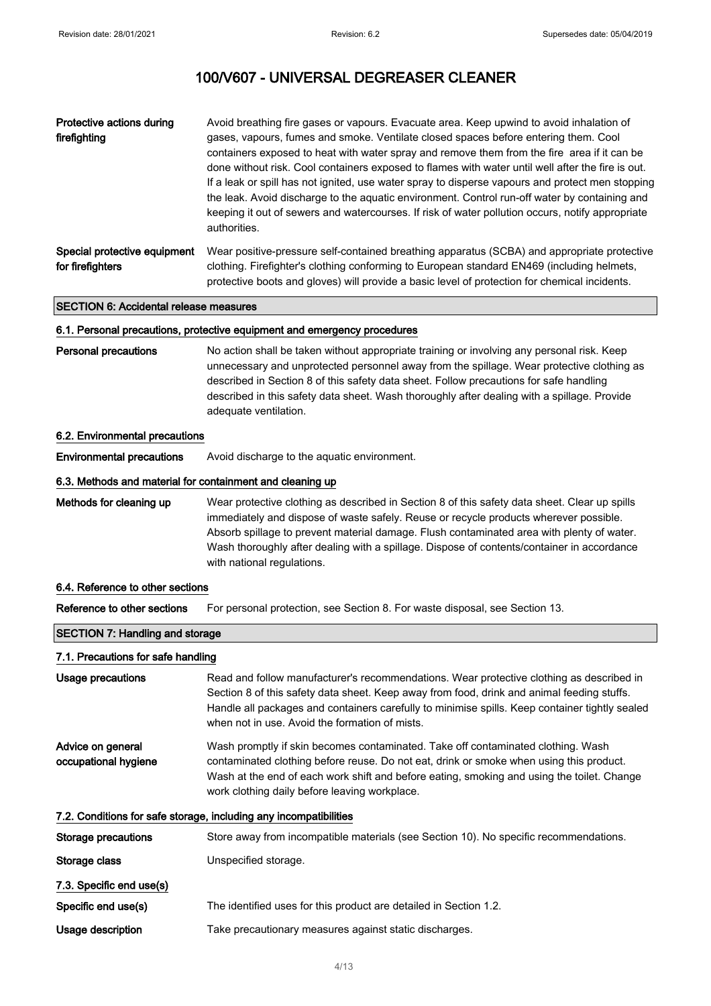| Protective actions during<br>firefighting        | Avoid breathing fire gases or vapours. Evacuate area. Keep upwind to avoid inhalation of<br>gases, vapours, fumes and smoke. Ventilate closed spaces before entering them. Cool<br>containers exposed to heat with water spray and remove them from the fire area if it can be<br>done without risk. Cool containers exposed to flames with water until well after the fire is out.<br>If a leak or spill has not ignited, use water spray to disperse vapours and protect men stopping<br>the leak. Avoid discharge to the aquatic environment. Control run-off water by containing and<br>keeping it out of sewers and watercourses. If risk of water pollution occurs, notify appropriate<br>authorities. |
|--------------------------------------------------|--------------------------------------------------------------------------------------------------------------------------------------------------------------------------------------------------------------------------------------------------------------------------------------------------------------------------------------------------------------------------------------------------------------------------------------------------------------------------------------------------------------------------------------------------------------------------------------------------------------------------------------------------------------------------------------------------------------|
| Special protective equipment<br>for firefighters | Wear positive-pressure self-contained breathing apparatus (SCBA) and appropriate protective<br>clothing. Firefighter's clothing conforming to European standard EN469 (including helmets,<br>protective boots and gloves) will provide a basic level of protection for chemical incidents.                                                                                                                                                                                                                                                                                                                                                                                                                   |

### SECTION 6: Accidental release measures

#### 6.1. Personal precautions, protective equipment and emergency procedures

Personal precautions No action shall be taken without appropriate training or involving any personal risk. Keep unnecessary and unprotected personnel away from the spillage. Wear protective clothing as described in Section 8 of this safety data sheet. Follow precautions for safe handling described in this safety data sheet. Wash thoroughly after dealing with a spillage. Provide adequate ventilation.

#### 6.2. Environmental precautions

Environmental precautions Avoid discharge to the aquatic environment.

## 6.3. Methods and material for containment and cleaning up

Methods for cleaning up Wear protective clothing as described in Section 8 of this safety data sheet. Clear up spills immediately and dispose of waste safely. Reuse or recycle products wherever possible. Absorb spillage to prevent material damage. Flush contaminated area with plenty of water. Wash thoroughly after dealing with a spillage. Dispose of contents/container in accordance with national regulations.

### 6.4. Reference to other sections

Reference to other sections For personal protection, see Section 8. For waste disposal, see Section 13.

## SECTION 7: Handling and storage

### 7.1. Precautions for safe handling

| Usage precautions                         | Read and follow manufacturer's recommendations. Wear protective clothing as described in<br>Section 8 of this safety data sheet. Keep away from food, drink and animal feeding stuffs.<br>Handle all packages and containers carefully to minimise spills. Keep container tightly sealed<br>when not in use. Avoid the formation of mists. |
|-------------------------------------------|--------------------------------------------------------------------------------------------------------------------------------------------------------------------------------------------------------------------------------------------------------------------------------------------------------------------------------------------|
| Advice on general<br>occupational hygiene | Wash promptly if skin becomes contaminated. Take off contaminated clothing. Wash<br>contaminated clothing before reuse. Do not eat, drink or smoke when using this product.<br>Wash at the end of each work shift and before eating, smoking and using the toilet. Change<br>work clothing daily before leaving workplace.                 |
|                                           | 7.2. Conditions for safe storage, including any incompatibilities                                                                                                                                                                                                                                                                          |
| Storage precautions                       | Store away from incompatible materials (see Section 10). No specific recommendations.                                                                                                                                                                                                                                                      |
| Storage class                             | Unspecified storage.                                                                                                                                                                                                                                                                                                                       |
| 7.3. Specific end use(s)                  |                                                                                                                                                                                                                                                                                                                                            |
| Specific end use(s)                       | The identified uses for this product are detailed in Section 1.2.                                                                                                                                                                                                                                                                          |
| Usage description                         | Take precautionary measures against static discharges.                                                                                                                                                                                                                                                                                     |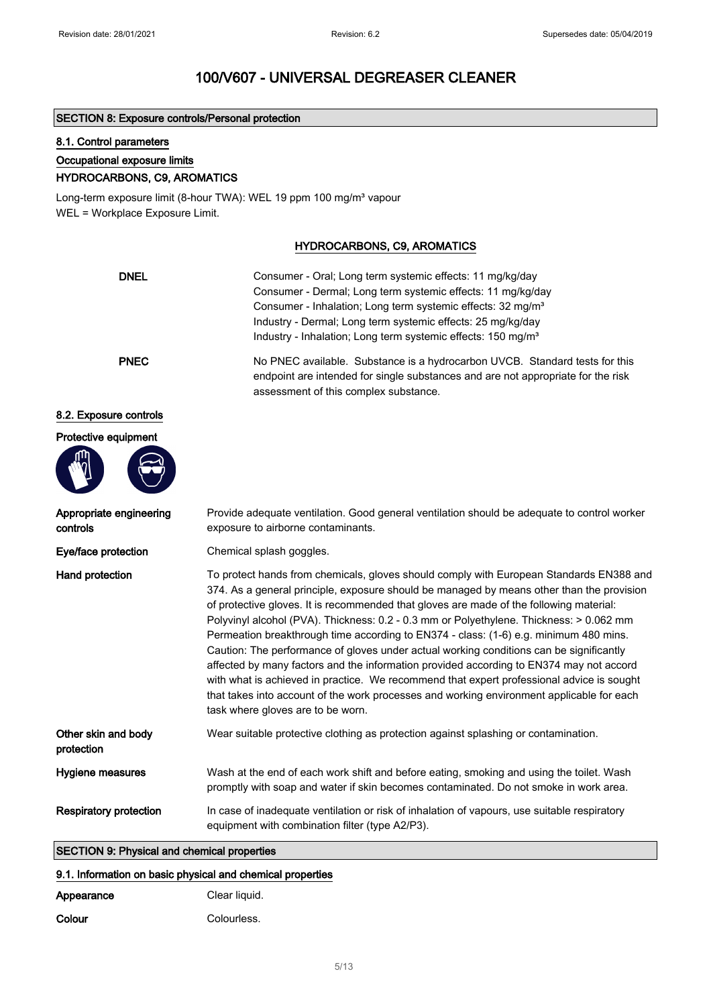### SECTION 8: Exposure controls/Personal protection

## 8.1. Control parameters

Protective equipment

#### Occupational exposure limits

## HYDROCARBONS, C9, AROMATICS

Long-term exposure limit (8-hour TWA): WEL 19 ppm 100 mg/m<sup>3</sup> vapour WEL = Workplace Exposure Limit.

## HYDROCARBONS, C9, AROMATICS

| <b>DNEL</b>            | Consumer - Oral; Long term systemic effects: 11 mg/kg/day<br>Consumer - Dermal; Long term systemic effects: 11 mg/kg/day<br>Consumer - Inhalation; Long term systemic effects: 32 mg/m <sup>3</sup><br>Industry - Dermal; Long term systemic effects: 25 mg/kg/day<br>Industry - Inhalation; Long term systemic effects: 150 mg/m <sup>3</sup> |  |
|------------------------|------------------------------------------------------------------------------------------------------------------------------------------------------------------------------------------------------------------------------------------------------------------------------------------------------------------------------------------------|--|
| <b>PNEC</b>            | No PNEC available. Substance is a hydrocarbon UVCB. Standard tests for this<br>endpoint are intended for single substances and are not appropriate for the risk<br>assessment of this complex substance.                                                                                                                                       |  |
| 8.2. Exposure controls |                                                                                                                                                                                                                                                                                                                                                |  |

| Appropriate engineering<br>controls                | Provide adequate ventilation. Good general ventilation should be adequate to control worker<br>exposure to airborne contaminants.                                                                                                                                                                                                                                                                                                                                                                                                                                                                                                                                                                                                                                                                                                                                                        |
|----------------------------------------------------|------------------------------------------------------------------------------------------------------------------------------------------------------------------------------------------------------------------------------------------------------------------------------------------------------------------------------------------------------------------------------------------------------------------------------------------------------------------------------------------------------------------------------------------------------------------------------------------------------------------------------------------------------------------------------------------------------------------------------------------------------------------------------------------------------------------------------------------------------------------------------------------|
| Eye/face protection                                | Chemical splash goggles.                                                                                                                                                                                                                                                                                                                                                                                                                                                                                                                                                                                                                                                                                                                                                                                                                                                                 |
| Hand protection                                    | To protect hands from chemicals, gloves should comply with European Standards EN388 and<br>374. As a general principle, exposure should be managed by means other than the provision<br>of protective gloves. It is recommended that gloves are made of the following material:<br>Polyvinyl alcohol (PVA). Thickness: 0.2 - 0.3 mm or Polyethylene. Thickness: > 0.062 mm<br>Permeation breakthrough time according to EN374 - class: (1-6) e.g. minimum 480 mins.<br>Caution: The performance of gloves under actual working conditions can be significantly<br>affected by many factors and the information provided according to EN374 may not accord<br>with what is achieved in practice. We recommend that expert professional advice is sought<br>that takes into account of the work processes and working environment applicable for each<br>task where gloves are to be worn. |
| Other skin and body<br>protection                  | Wear suitable protective clothing as protection against splashing or contamination.                                                                                                                                                                                                                                                                                                                                                                                                                                                                                                                                                                                                                                                                                                                                                                                                      |
| Hygiene measures                                   | Wash at the end of each work shift and before eating, smoking and using the toilet. Wash<br>promptly with soap and water if skin becomes contaminated. Do not smoke in work area.                                                                                                                                                                                                                                                                                                                                                                                                                                                                                                                                                                                                                                                                                                        |
| <b>Respiratory protection</b>                      | In case of inadequate ventilation or risk of inhalation of vapours, use suitable respiratory<br>equipment with combination filter (type A2/P3).                                                                                                                                                                                                                                                                                                                                                                                                                                                                                                                                                                                                                                                                                                                                          |
| <b>SECTION 9: Physical and chemical properties</b> |                                                                                                                                                                                                                                                                                                                                                                                                                                                                                                                                                                                                                                                                                                                                                                                                                                                                                          |

# 9.1. Information on basic physical and chemical properties

| Appearance | Clear liquid. |
|------------|---------------|
| Colour     | Colourless.   |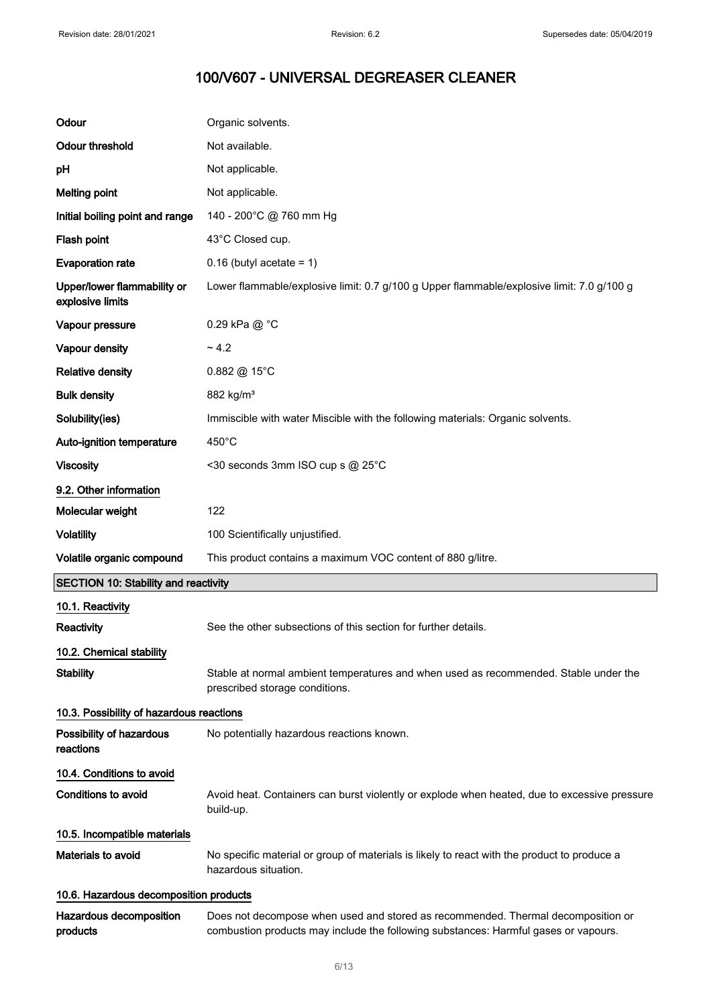| Odour                                           | Organic solvents.                                                                                                      |
|-------------------------------------------------|------------------------------------------------------------------------------------------------------------------------|
| <b>Odour threshold</b>                          | Not available.                                                                                                         |
| pH                                              | Not applicable.                                                                                                        |
| <b>Melting point</b>                            | Not applicable.                                                                                                        |
| Initial boiling point and range                 | 140 - 200°C @ 760 mm Hg                                                                                                |
| Flash point                                     | 43°C Closed cup.                                                                                                       |
| <b>Evaporation rate</b>                         | $0.16$ (butyl acetate = 1)                                                                                             |
| Upper/lower flammability or<br>explosive limits | Lower flammable/explosive limit: 0.7 g/100 g Upper flammable/explosive limit: 7.0 g/100 g                              |
| Vapour pressure                                 | 0.29 kPa @ °C                                                                                                          |
| Vapour density                                  | ~1.2                                                                                                                   |
| <b>Relative density</b>                         | $0.882 \text{ @ } 15^{\circ} \text{C}$                                                                                 |
| <b>Bulk density</b>                             | 882 kg/m <sup>3</sup>                                                                                                  |
| Solubility(ies)                                 | Immiscible with water Miscible with the following materials: Organic solvents.                                         |
| Auto-ignition temperature                       | $450^{\circ}$ C                                                                                                        |
| <b>Viscosity</b>                                | <30 seconds 3mm ISO cup s @ 25°C                                                                                       |
| 9.2. Other information                          |                                                                                                                        |
| Molecular weight                                | 122                                                                                                                    |
| <b>Volatility</b>                               | 100 Scientifically unjustified.                                                                                        |
|                                                 |                                                                                                                        |
| Volatile organic compound                       | This product contains a maximum VOC content of 880 g/litre.                                                            |
| <b>SECTION 10: Stability and reactivity</b>     |                                                                                                                        |
| 10.1. Reactivity                                |                                                                                                                        |
| Reactivity                                      | See the other subsections of this section for further details.                                                         |
| 10.2. Chemical stability                        |                                                                                                                        |
| <b>Stability</b>                                | Stable at normal ambient temperatures and when used as recommended. Stable under the<br>prescribed storage conditions. |
| 10.3. Possibility of hazardous reactions        |                                                                                                                        |
| Possibility of hazardous<br>reactions           | No potentially hazardous reactions known.                                                                              |
| 10.4. Conditions to avoid                       |                                                                                                                        |
| <b>Conditions to avoid</b>                      | Avoid heat. Containers can burst violently or explode when heated, due to excessive pressure<br>build-up.              |
| 10.5. Incompatible materials                    |                                                                                                                        |
| <b>Materials to avoid</b>                       | No specific material or group of materials is likely to react with the product to produce a<br>hazardous situation.    |
| 10.6. Hazardous decomposition products          |                                                                                                                        |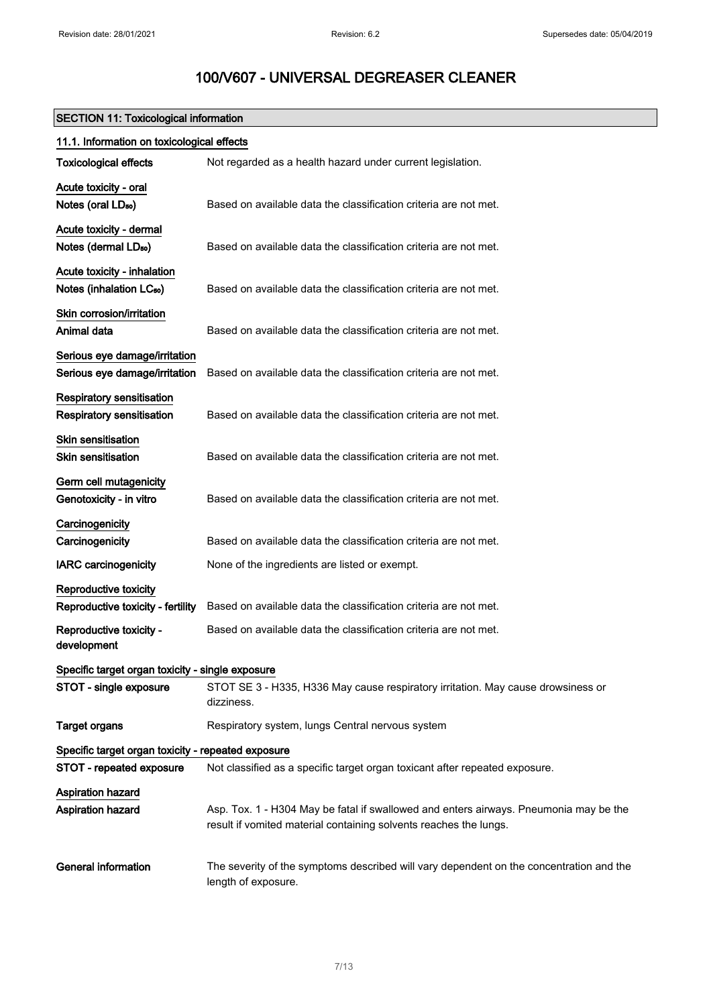## SECTION 11: Toxicological information

| 11.1. Information on toxicological effects                          |                                                                                                                                                            |  |
|---------------------------------------------------------------------|------------------------------------------------------------------------------------------------------------------------------------------------------------|--|
| <b>Toxicological effects</b>                                        | Not regarded as a health hazard under current legislation.                                                                                                 |  |
| Acute toxicity - oral<br>Notes (oral LD <sub>50</sub> )             | Based on available data the classification criteria are not met.                                                                                           |  |
| Acute toxicity - dermal<br>Notes (dermal LD <sub>50</sub> )         | Based on available data the classification criteria are not met.                                                                                           |  |
| Acute toxicity - inhalation<br>Notes (inhalation LC <sub>50</sub> ) | Based on available data the classification criteria are not met.                                                                                           |  |
| Skin corrosion/irritation<br>Animal data                            | Based on available data the classification criteria are not met.                                                                                           |  |
| Serious eye damage/irritation<br>Serious eye damage/irritation      | Based on available data the classification criteria are not met.                                                                                           |  |
| Respiratory sensitisation<br>Respiratory sensitisation              | Based on available data the classification criteria are not met.                                                                                           |  |
| <b>Skin sensitisation</b><br><b>Skin sensitisation</b>              | Based on available data the classification criteria are not met.                                                                                           |  |
| Germ cell mutagenicity<br>Genotoxicity - in vitro                   | Based on available data the classification criteria are not met.                                                                                           |  |
| Carcinogenicity<br>Carcinogenicity                                  | Based on available data the classification criteria are not met.                                                                                           |  |
| <b>IARC</b> carcinogenicity                                         | None of the ingredients are listed or exempt.                                                                                                              |  |
| Reproductive toxicity<br>Reproductive toxicity - fertility          | Based on available data the classification criteria are not met.                                                                                           |  |
| Reproductive toxicity -<br>development                              | Based on available data the classification criteria are not met.                                                                                           |  |
| Specific target organ toxicity - single exposure                    |                                                                                                                                                            |  |
| STOT - single exposure                                              | STOT SE 3 - H335, H336 May cause respiratory irritation. May cause drowsiness or<br>dizziness.                                                             |  |
| <b>Target organs</b>                                                | Respiratory system, lungs Central nervous system                                                                                                           |  |
| Specific target organ toxicity - repeated exposure                  |                                                                                                                                                            |  |
| STOT - repeated exposure                                            | Not classified as a specific target organ toxicant after repeated exposure.                                                                                |  |
| Aspiration hazard                                                   |                                                                                                                                                            |  |
| Aspiration hazard                                                   | Asp. Tox. 1 - H304 May be fatal if swallowed and enters airways. Pneumonia may be the<br>result if vomited material containing solvents reaches the lungs. |  |
| <b>General information</b>                                          | The severity of the symptoms described will vary dependent on the concentration and the<br>length of exposure.                                             |  |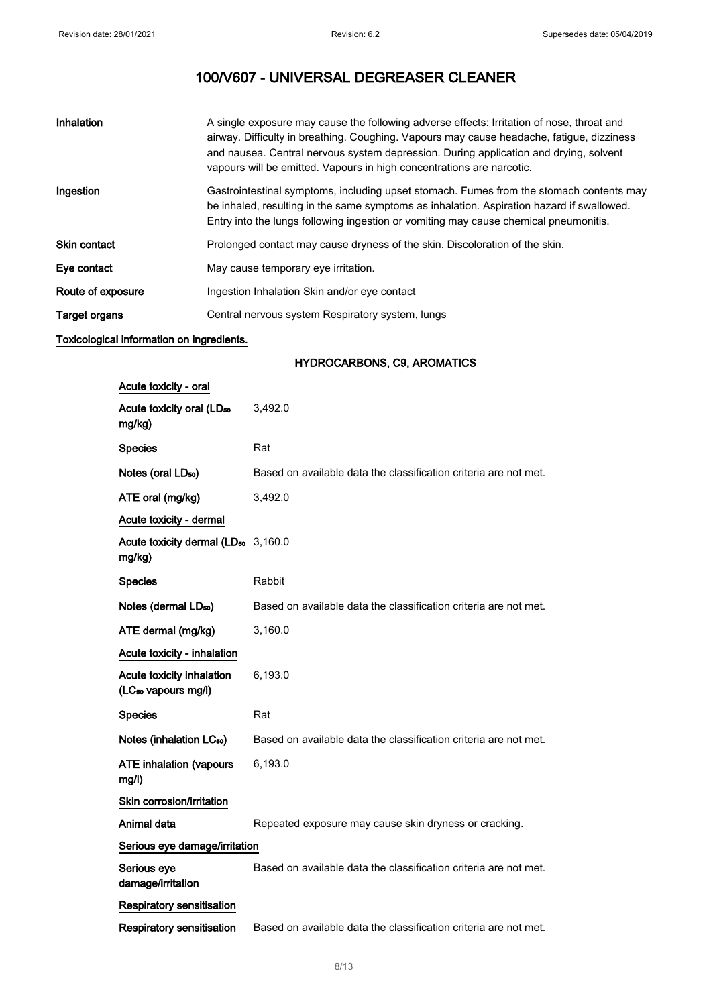| Inhalation           | A single exposure may cause the following adverse effects: Irritation of nose, throat and<br>airway. Difficulty in breathing. Coughing. Vapours may cause headache, fatigue, dizziness<br>and nausea. Central nervous system depression. During application and drying, solvent<br>vapours will be emitted. Vapours in high concentrations are narcotic. |
|----------------------|----------------------------------------------------------------------------------------------------------------------------------------------------------------------------------------------------------------------------------------------------------------------------------------------------------------------------------------------------------|
| Ingestion            | Gastrointestinal symptoms, including upset stomach. Fumes from the stomach contents may<br>be inhaled, resulting in the same symptoms as inhalation. Aspiration hazard if swallowed.<br>Entry into the lungs following ingestion or vomiting may cause chemical pneumonitis.                                                                             |
| <b>Skin contact</b>  | Prolonged contact may cause dryness of the skin. Discoloration of the skin.                                                                                                                                                                                                                                                                              |
| Eye contact          | May cause temporary eye irritation.                                                                                                                                                                                                                                                                                                                      |
| Route of exposure    | Ingestion Inhalation Skin and/or eye contact                                                                                                                                                                                                                                                                                                             |
| <b>Target organs</b> | Central nervous system Respiratory system, lungs                                                                                                                                                                                                                                                                                                         |

## Toxicological information on ingredients.

## HYDROCARBONS, C9, AROMATICS

| Acute toxicity - oral                                        |                                                                  |
|--------------------------------------------------------------|------------------------------------------------------------------|
| Acute toxicity oral (LD <sub>50</sub><br>mg/kg)              | 3,492.0                                                          |
| <b>Species</b>                                               | Rat                                                              |
| Notes (oral LD <sub>50</sub> )                               | Based on available data the classification criteria are not met. |
| ATE oral (mg/kg)                                             | 3,492.0                                                          |
| Acute toxicity - dermal                                      |                                                                  |
| Acute toxicity dermal (LD <sub>50</sub> 3,160.0<br>mg/kg)    |                                                                  |
| <b>Species</b>                                               | Rabbit                                                           |
| Notes (dermal LD <sub>50</sub> )                             | Based on available data the classification criteria are not met. |
| ATE dermal (mg/kg)                                           | 3,160.0                                                          |
| Acute toxicity - inhalation                                  |                                                                  |
| Acute toxicity inhalation<br>(LC <sub>50</sub> vapours mg/l) | 6,193.0                                                          |
| <b>Species</b>                                               | Rat                                                              |
| Notes (inhalation LC <sub>50</sub> )                         | Based on available data the classification criteria are not met. |
| <b>ATE inhalation (vapours</b><br>mg/l)                      | 6,193.0                                                          |
| Skin corrosion/irritation                                    |                                                                  |
| Animal data                                                  | Repeated exposure may cause skin dryness or cracking.            |
| Serious eye damage/irritation                                |                                                                  |
| Serious eye<br>damage/irritation                             | Based on available data the classification criteria are not met. |
| Respiratory sensitisation                                    |                                                                  |
| <b>Respiratory sensitisation</b>                             | Based on available data the classification criteria are not met. |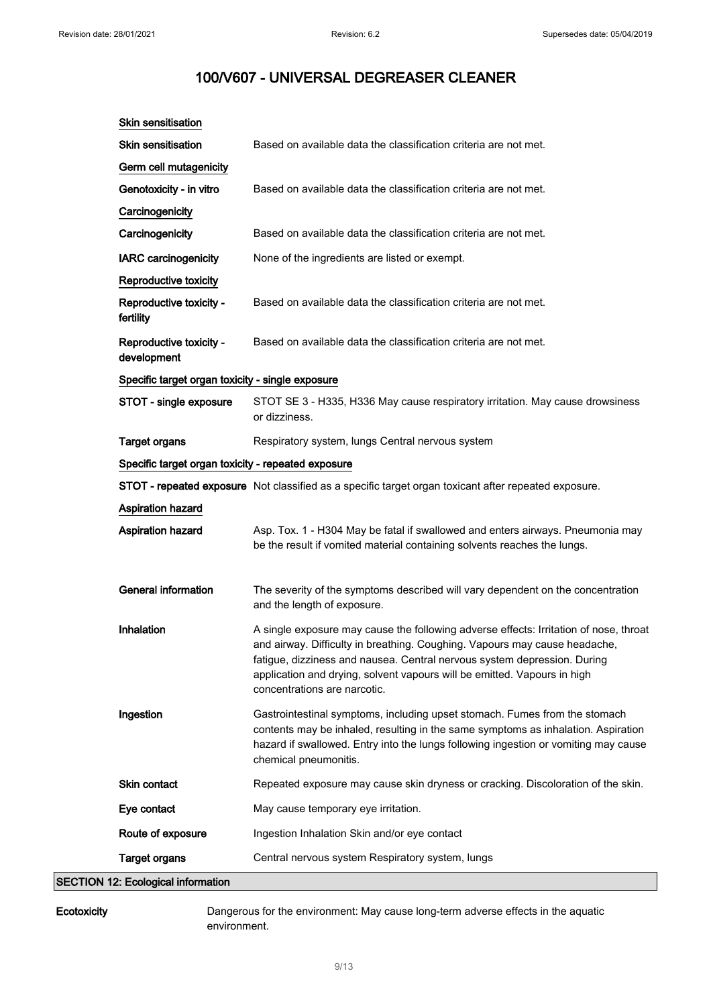| <b>Skin sensitisation</b>                          |                                                                                                                                                                                                                                                                                                                                                             |  |
|----------------------------------------------------|-------------------------------------------------------------------------------------------------------------------------------------------------------------------------------------------------------------------------------------------------------------------------------------------------------------------------------------------------------------|--|
| <b>Skin sensitisation</b>                          | Based on available data the classification criteria are not met.                                                                                                                                                                                                                                                                                            |  |
| Germ cell mutagenicity                             |                                                                                                                                                                                                                                                                                                                                                             |  |
| Genotoxicity - in vitro                            | Based on available data the classification criteria are not met.                                                                                                                                                                                                                                                                                            |  |
| Carcinogenicity                                    |                                                                                                                                                                                                                                                                                                                                                             |  |
| Carcinogenicity                                    | Based on available data the classification criteria are not met.                                                                                                                                                                                                                                                                                            |  |
| <b>IARC carcinogenicity</b>                        | None of the ingredients are listed or exempt.                                                                                                                                                                                                                                                                                                               |  |
| Reproductive toxicity                              |                                                                                                                                                                                                                                                                                                                                                             |  |
| Reproductive toxicity -<br>fertility               | Based on available data the classification criteria are not met.                                                                                                                                                                                                                                                                                            |  |
| Reproductive toxicity -<br>development             | Based on available data the classification criteria are not met.                                                                                                                                                                                                                                                                                            |  |
| Specific target organ toxicity - single exposure   |                                                                                                                                                                                                                                                                                                                                                             |  |
| STOT - single exposure                             | STOT SE 3 - H335, H336 May cause respiratory irritation. May cause drowsiness<br>or dizziness.                                                                                                                                                                                                                                                              |  |
| <b>Target organs</b>                               | Respiratory system, lungs Central nervous system                                                                                                                                                                                                                                                                                                            |  |
| Specific target organ toxicity - repeated exposure |                                                                                                                                                                                                                                                                                                                                                             |  |
|                                                    | STOT - repeated exposure Not classified as a specific target organ toxicant after repeated exposure.                                                                                                                                                                                                                                                        |  |
| <b>Aspiration hazard</b>                           |                                                                                                                                                                                                                                                                                                                                                             |  |
| <b>Aspiration hazard</b>                           | Asp. Tox. 1 - H304 May be fatal if swallowed and enters airways. Pneumonia may<br>be the result if vomited material containing solvents reaches the lungs.                                                                                                                                                                                                  |  |
| <b>General information</b>                         | The severity of the symptoms described will vary dependent on the concentration<br>and the length of exposure.                                                                                                                                                                                                                                              |  |
| Inhalation                                         | A single exposure may cause the following adverse effects: Irritation of nose, throat<br>and airway. Difficulty in breathing. Coughing. Vapours may cause headache,<br>fatigue, dizziness and nausea. Central nervous system depression. During<br>application and drying, solvent vapours will be emitted. Vapours in high<br>concentrations are narcotic. |  |
| Ingestion                                          | Gastrointestinal symptoms, including upset stomach. Fumes from the stomach<br>contents may be inhaled, resulting in the same symptoms as inhalation. Aspiration<br>hazard if swallowed. Entry into the lungs following ingestion or vomiting may cause<br>chemical pneumonitis.                                                                             |  |
| Skin contact                                       | Repeated exposure may cause skin dryness or cracking. Discoloration of the skin.                                                                                                                                                                                                                                                                            |  |
| Eye contact                                        | May cause temporary eye irritation.                                                                                                                                                                                                                                                                                                                         |  |
| Route of exposure                                  | Ingestion Inhalation Skin and/or eye contact                                                                                                                                                                                                                                                                                                                |  |
| <b>Target organs</b>                               | Central nervous system Respiratory system, lungs                                                                                                                                                                                                                                                                                                            |  |
|                                                    |                                                                                                                                                                                                                                                                                                                                                             |  |

SECTION 12: Ecological information

Ecotoxicity Dangerous for the environment: May cause long-term adverse effects in the aquatic environment.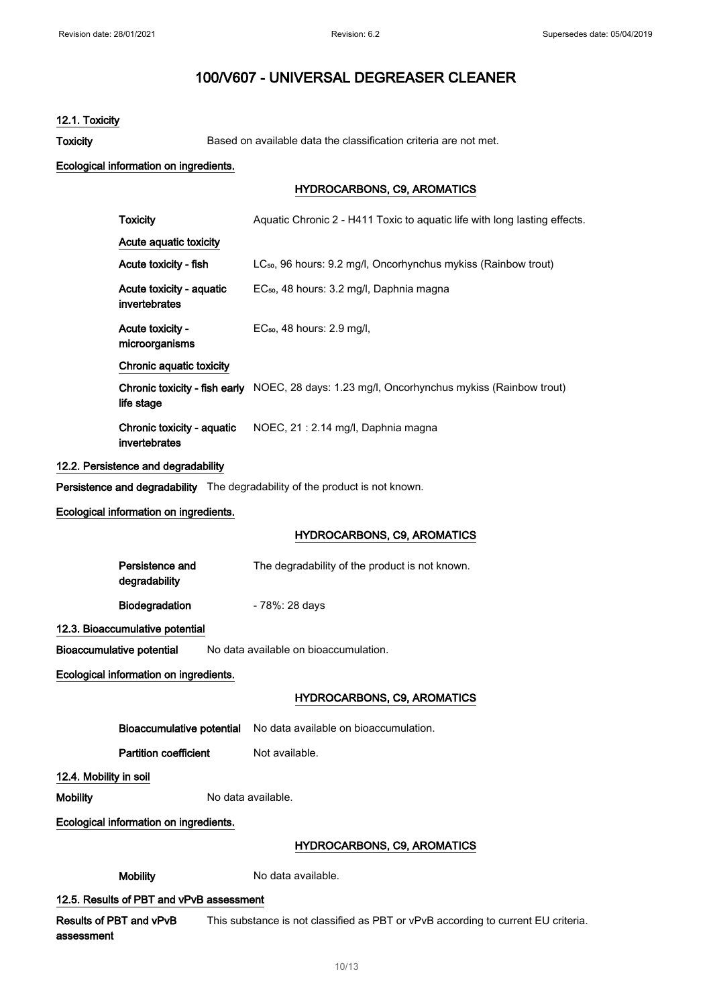## 12.1. Toxicity

Toxicity Based on available data the classification criteria are not met.

#### Ecological information on ingredients.

### HYDROCARBONS, C9, AROMATICS

| <b>Toxicity</b>        |                                             | Aquatic Chronic 2 - H411 Toxic to aquatic life with long lasting effects.                   |
|------------------------|---------------------------------------------|---------------------------------------------------------------------------------------------|
|                        | Acute aquatic toxicity                      |                                                                                             |
|                        | Acute toxicity - fish                       | LC <sub>50</sub> , 96 hours: 9.2 mg/l, Oncorhynchus mykiss (Rainbow trout)                  |
|                        | Acute toxicity - aquatic<br>invertebrates   | EC <sub>50</sub> , 48 hours: 3.2 mg/l, Daphnia magna                                        |
|                        | Acute toxicity -<br>microorganisms          | EC <sub>50</sub> , 48 hours: 2.9 mg/l,                                                      |
|                        | Chronic aquatic toxicity                    |                                                                                             |
|                        | life stage                                  | Chronic toxicity - fish early NOEC, 28 days: 1.23 mg/l, Oncorhynchus mykiss (Rainbow trout) |
|                        | Chronic toxicity - aquatic<br>invertebrates | NOEC, 21: 2.14 mg/l, Daphnia magna                                                          |
|                        | 12.2. Persistence and degradability         |                                                                                             |
|                        |                                             | Persistence and degradability The degradability of the product is not known.                |
|                        | Ecological information on ingredients.      |                                                                                             |
|                        |                                             | <b>HYDROCARBONS, C9, AROMATICS</b>                                                          |
|                        | Persistence and<br>degradability            | The degradability of the product is not known.                                              |
|                        | Biodegradation                              | - 78%: 28 days                                                                              |
|                        | 12.3. Bioaccumulative potential             |                                                                                             |
|                        | <b>Bioaccumulative potential</b>            | No data available on bioaccumulation.                                                       |
|                        | Ecological information on ingredients.      |                                                                                             |
|                        |                                             | <b>HYDROCARBONS, C9, AROMATICS</b>                                                          |
|                        |                                             | Bioaccumulative potential No data available on bioaccumulation.                             |
|                        | <b>Partition coefficient</b>                | Not available.                                                                              |
| 12.4. Mobility in soil |                                             |                                                                                             |
| <b>Mobility</b>        |                                             | No data available.                                                                          |
|                        | Ecological information on ingredients.      |                                                                                             |
|                        |                                             | <b>HYDROCARBONS, C9, AROMATICS</b>                                                          |
|                        |                                             |                                                                                             |

Mobility Modata available.

## 12.5. Results of PBT and vPvB assessment

Results of PBT and vPvB assessment This substance is not classified as PBT or vPvB according to current EU criteria.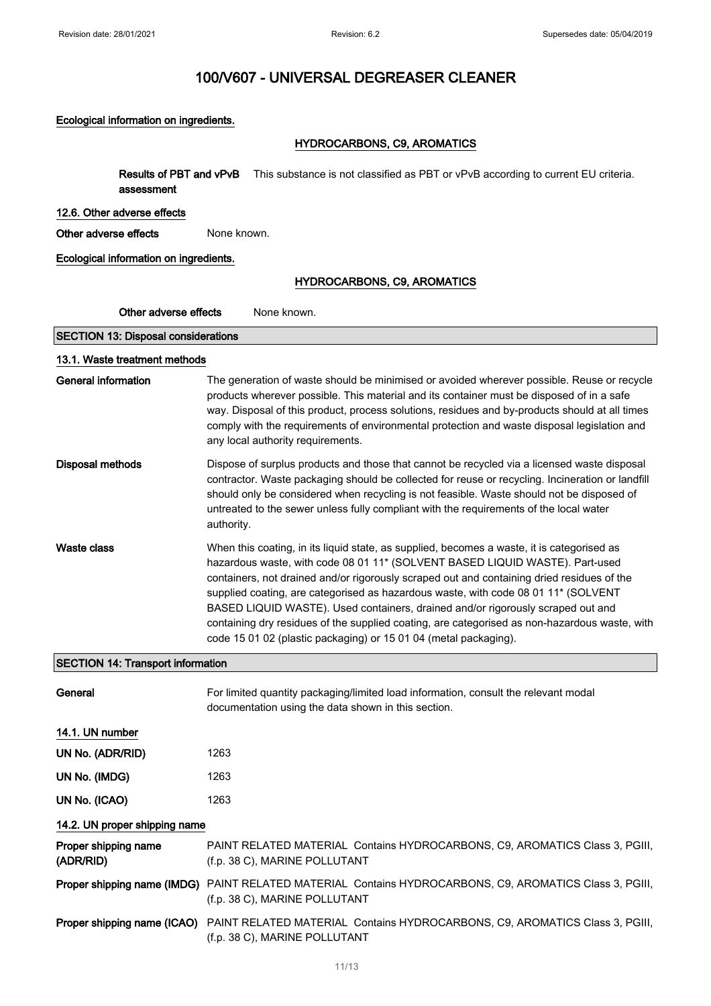## Ecological information on ingredients.

## HYDROCARBONS, C9, AROMATICS

| Results of PBT and vPvB<br>assessment      | This substance is not classified as PBT or vPvB according to current EU criteria.                                                                                                                                                                                                                                                                                                                                                                                                                                                                                                                                      |  |
|--------------------------------------------|------------------------------------------------------------------------------------------------------------------------------------------------------------------------------------------------------------------------------------------------------------------------------------------------------------------------------------------------------------------------------------------------------------------------------------------------------------------------------------------------------------------------------------------------------------------------------------------------------------------------|--|
| 12.6. Other adverse effects                |                                                                                                                                                                                                                                                                                                                                                                                                                                                                                                                                                                                                                        |  |
| Other adverse effects                      | None known.                                                                                                                                                                                                                                                                                                                                                                                                                                                                                                                                                                                                            |  |
| Ecological information on ingredients.     |                                                                                                                                                                                                                                                                                                                                                                                                                                                                                                                                                                                                                        |  |
|                                            | <b>HYDROCARBONS, C9, AROMATICS</b>                                                                                                                                                                                                                                                                                                                                                                                                                                                                                                                                                                                     |  |
| Other adverse effects                      | None known.                                                                                                                                                                                                                                                                                                                                                                                                                                                                                                                                                                                                            |  |
| <b>SECTION 13: Disposal considerations</b> |                                                                                                                                                                                                                                                                                                                                                                                                                                                                                                                                                                                                                        |  |
| 13.1. Waste treatment methods              |                                                                                                                                                                                                                                                                                                                                                                                                                                                                                                                                                                                                                        |  |
| <b>General information</b>                 | The generation of waste should be minimised or avoided wherever possible. Reuse or recycle<br>products wherever possible. This material and its container must be disposed of in a safe<br>way. Disposal of this product, process solutions, residues and by-products should at all times<br>comply with the requirements of environmental protection and waste disposal legislation and<br>any local authority requirements.                                                                                                                                                                                          |  |
| <b>Disposal methods</b>                    | Dispose of surplus products and those that cannot be recycled via a licensed waste disposal<br>contractor. Waste packaging should be collected for reuse or recycling. Incineration or landfill<br>should only be considered when recycling is not feasible. Waste should not be disposed of<br>untreated to the sewer unless fully compliant with the requirements of the local water<br>authority.                                                                                                                                                                                                                   |  |
| Waste class                                | When this coating, in its liquid state, as supplied, becomes a waste, it is categorised as<br>hazardous waste, with code 08 01 11* (SOLVENT BASED LIQUID WASTE). Part-used<br>containers, not drained and/or rigorously scraped out and containing dried residues of the<br>supplied coating, are categorised as hazardous waste, with code 08 01 11* (SOLVENT<br>BASED LIQUID WASTE). Used containers, drained and/or rigorously scraped out and<br>containing dry residues of the supplied coating, are categorised as non-hazardous waste, with<br>code 15 01 02 (plastic packaging) or 15 01 04 (metal packaging). |  |
| <b>SECTION 14: Transport information</b>   |                                                                                                                                                                                                                                                                                                                                                                                                                                                                                                                                                                                                                        |  |
| General                                    | For limited quantity packaging/limited load information, consult the relevant modal<br>documentation using the data shown in this section.                                                                                                                                                                                                                                                                                                                                                                                                                                                                             |  |
| 14.1. UN number                            |                                                                                                                                                                                                                                                                                                                                                                                                                                                                                                                                                                                                                        |  |
| UN No. (ADR/RID)                           | 1263                                                                                                                                                                                                                                                                                                                                                                                                                                                                                                                                                                                                                   |  |
| UN No. (IMDG)                              | 1263                                                                                                                                                                                                                                                                                                                                                                                                                                                                                                                                                                                                                   |  |
| UN No. (ICAO)                              | 1263                                                                                                                                                                                                                                                                                                                                                                                                                                                                                                                                                                                                                   |  |
| 14.2. UN proper shipping name              |                                                                                                                                                                                                                                                                                                                                                                                                                                                                                                                                                                                                                        |  |
| Proper shipping name<br>(ADR/RID)          | PAINT RELATED MATERIAL Contains HYDROCARBONS, C9, AROMATICS Class 3, PGIII,<br>(f.p. 38 C), MARINE POLLUTANT                                                                                                                                                                                                                                                                                                                                                                                                                                                                                                           |  |
|                                            | Proper shipping name (IMDG) PAINT RELATED MATERIAL Contains HYDROCARBONS, C9, AROMATICS Class 3, PGIII,<br>(f.p. 38 C), MARINE POLLUTANT                                                                                                                                                                                                                                                                                                                                                                                                                                                                               |  |
|                                            | Proper shipping name (ICAO) PAINT RELATED MATERIAL Contains HYDROCARBONS, C9, AROMATICS Class 3, PGIII,<br>(f.p. 38 C), MARINE POLLUTANT                                                                                                                                                                                                                                                                                                                                                                                                                                                                               |  |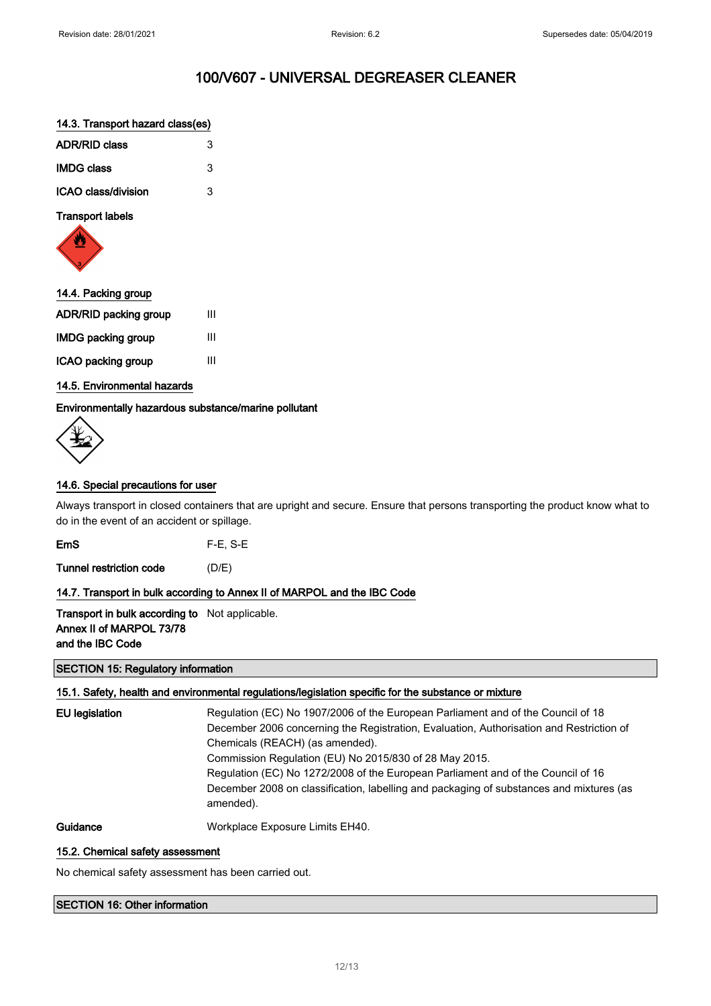#### 14.3. Transport hazard class(es)

| <b>ADR/RID class</b> | З |
|----------------------|---|
| <b>IMDG class</b>    | 3 |
| ICAO class/division  | З |

## Transport labels



| 14.4. Packing group          |   |
|------------------------------|---|
| <b>ADR/RID packing group</b> | Ш |
| <b>IMDG packing group</b>    | Ш |
| ICAO packing group           | ш |

### 14.5. Environmental hazards

Environmentally hazardous substance/marine pollutant

### 14.6. Special precautions for user

Always transport in closed containers that are upright and secure. Ensure that persons transporting the product know what to do in the event of an accident or spillage.

EmS F-E, S-E

Tunnel restriction code (D/E)

### 14.7. Transport in bulk according to Annex II of MARPOL and the IBC Code

**Transport in bulk according to** Not applicable. Annex II of MARPOL 73/78 and the IBC Code

SECTION 15: Regulatory information

### 15.1. Safety, health and environmental regulations/legislation specific for the substance or mixture

EU legislation Regulation (EC) No 1907/2006 of the European Parliament and of the Council of 18 December 2006 concerning the Registration, Evaluation, Authorisation and Restriction of Chemicals (REACH) (as amended). Commission Regulation (EU) No 2015/830 of 28 May 2015. Regulation (EC) No 1272/2008 of the European Parliament and of the Council of 16 December 2008 on classification, labelling and packaging of substances and mixtures (as amended).

Guidance Workplace Exposure Limits EH40.

#### 15.2. Chemical safety assessment

No chemical safety assessment has been carried out.

#### SECTION 16: Other information